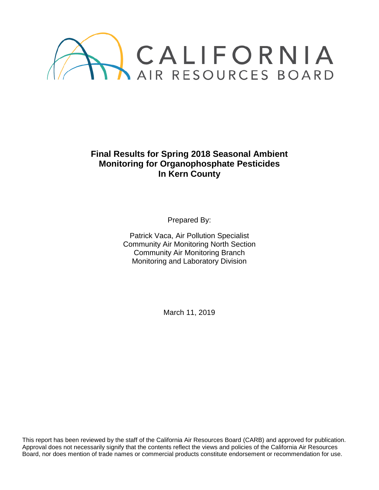

**Final Results for Spring 2018 Seasonal Ambient Monitoring for Organophosphate Pesticides In Kern County**

Prepared By:

Patrick Vaca, Air Pollution Specialist Community Air Monitoring North Section Community Air Monitoring Branch Monitoring and Laboratory Division

March 11, 2019

This report has been reviewed by the staff of the California Air Resources Board (CARB) and approved for publication. Approval does not necessarily signify that the contents reflect the views and policies of the California Air Resources Board, nor does mention of trade names or commercial products constitute endorsement or recommendation for use.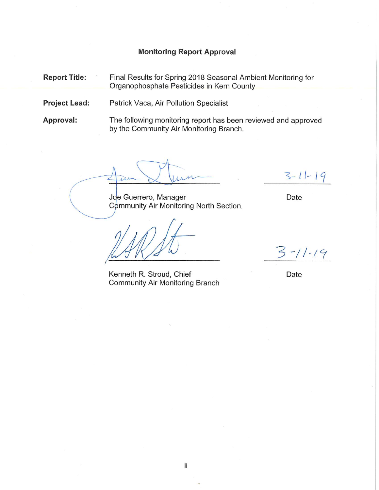### **Monitoring Report Approval**

**Report Title:** Final Results for Spring 2018 Seasonal Ambient Monitoring for Organophosphate Pesticides in Kern County

**Project Lead:** Patrick Vaca, Air Pollution Specialist

Approval: The following monitoring report has been reviewed and approved by the Community Air Monitoring Branch.

Joe Guerrero, Manager Community Air Monitoring North Section

Kenneth R. Stroud, Chief **Community Air Monitoring Branch** 

 $3 - 11 - 19$ 

Date

 $3 - 11 - 19$ 

Date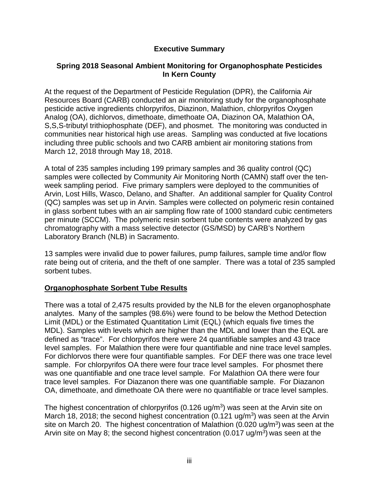### **Executive Summary**

#### **Spring 2018 Seasonal Ambient Monitoring for Organophosphate Pesticides In Kern County**

At the request of the Department of Pesticide Regulation (DPR), the California Air Resources Board (CARB) conducted an air monitoring study for the organophosphate pesticide active ingredients chlorpyrifos, Diazinon, Malathion, chlorpyrifos Oxygen Analog (OA), dichlorvos, dimethoate, dimethoate OA, Diazinon OA, Malathion OA, S,S,S-tributyl trithiophosphate (DEF), and phosmet. The monitoring was conducted in communities near historical high use areas. Sampling was conducted at five locations including three public schools and two CARB ambient air monitoring stations from March 12, 2018 through May 18, 2018.

A total of 235 samples including 199 primary samples and 36 quality control (QC) samples were collected by Community Air Monitoring North (CAMN) staff over the tenweek sampling period. Five primary samplers were deployed to the communities of Arvin, Lost Hills, Wasco, Delano, and Shafter. An additional sampler for Quality Control (QC) samples was set up in Arvin. Samples were collected on polymeric resin contained in glass sorbent tubes with an air sampling flow rate of 1000 standard cubic centimeters per minute (SCCM). The polymeric resin sorbent tube contents were analyzed by gas chromatography with a mass selective detector (GS/MSD) by CARB's Northern Laboratory Branch (NLB) in Sacramento.

13 samples were invalid due to power failures, pump failures, sample time and/or flow rate being out of criteria, and the theft of one sampler. There was a total of 235 sampled sorbent tubes.

#### **Organophosphate Sorbent Tube Results**

There was a total of 2,475 results provided by the NLB for the eleven organophosphate analytes. Many of the samples (98.6%) were found to be below the Method Detection Limit (MDL) or the Estimated Quantitation Limit (EQL) (which equals five times the MDL). Samples with levels which are higher than the MDL and lower than the EQL are defined as "trace". For chlorpyrifos there were 24 quantifiable samples and 43 trace level samples. For Malathion there were four quantifiable and nine trace level samples. For dichlorvos there were four quantifiable samples. For DEF there was one trace level sample. For chlorpyrifos OA there were four trace level samples. For phosmet there was one quantifiable and one trace level sample. For Malathion OA there were four trace level samples. For Diazanon there was one quantifiable sample. For Diazanon OA, dimethoate, and dimethoate OA there were no quantifiable or trace level samples.

The highest concentration of chlorpyrifos  $(0.126 \text{ u}g/m<sup>3</sup>)$  was seen at the Arvin site on March 18, 2018; the second highest concentration  $(0.121 \text{ uq/m}^3)$  was seen at the Arvin site on March 20. The highest concentration of Malathion (0.020 ug/ $m<sup>3</sup>$ ) was seen at the Arvin site on May 8; the second highest concentration  $(0.017 \text{ uq/m}^3)$  was seen at the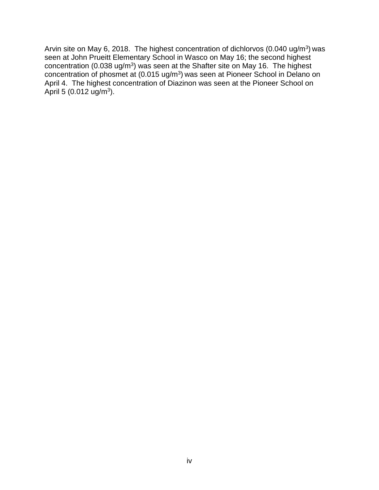Arvin site on May 6, 2018. The highest concentration of dichlorvos  $(0.040 \text{ ug/m}^3)$  was seen at John Prueitt Elementary School in Wasco on May 16; the second highest concentration (0.038 ug/m<sup>3</sup>) was seen at the Shafter site on May 16. The highest concentration of phosmet at (0.015 ug/m<sup>3</sup>) was seen at Pioneer School in Delano on April 4. The highest concentration of Diazinon was seen at the Pioneer School on April 5  $(0.012 \text{ u}g/m^3)$ .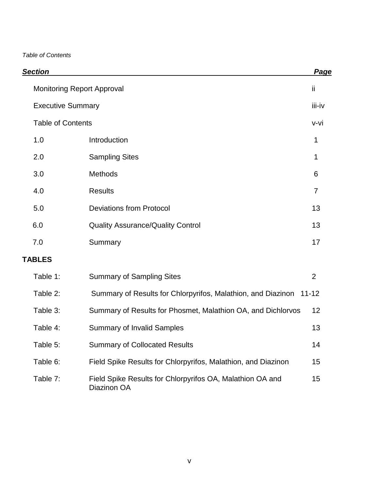*Table of Contents*

| <b>Section</b>           |                                                                          | <b>Page</b>    |
|--------------------------|--------------------------------------------------------------------------|----------------|
|                          | Monitoring Report Approval                                               | ij.            |
| <b>Executive Summary</b> |                                                                          | iii-iv         |
| <b>Table of Contents</b> |                                                                          | v-vi           |
| 1.0                      | Introduction                                                             | 1              |
| 2.0                      | <b>Sampling Sites</b>                                                    | 1              |
| 3.0                      | Methods                                                                  | 6              |
| 4.0                      | <b>Results</b>                                                           | $\overline{7}$ |
| 5.0                      | <b>Deviations from Protocol</b>                                          | 13             |
| 6.0                      | <b>Quality Assurance/Quality Control</b>                                 | 13             |
| 7.0                      | Summary                                                                  | 17             |
| <b>TABLES</b>            |                                                                          |                |
| Table 1:                 | <b>Summary of Sampling Sites</b>                                         | $\overline{2}$ |
| Table 2:                 | Summary of Results for Chlorpyrifos, Malathion, and Diazinon 11-12       |                |
| Table 3:                 | Summary of Results for Phosmet, Malathion OA, and Dichlorvos             | 12             |
| Table 4:                 | <b>Summary of Invalid Samples</b>                                        | 13             |
| Table 5:                 | <b>Summary of Collocated Results</b>                                     | 14             |
| Table 6:                 | Field Spike Results for Chlorpyrifos, Malathion, and Diazinon            | 15             |
| Table 7:                 | Field Spike Results for Chlorpyrifos OA, Malathion OA and<br>Diazinon OA | 15             |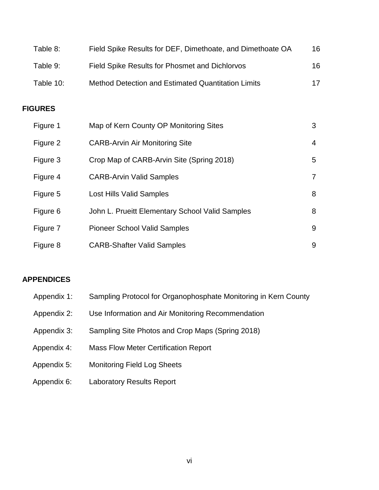| Table 8:  | Field Spike Results for DEF, Dimethoate, and Dimethoate OA | 16 |
|-----------|------------------------------------------------------------|----|
| Table 9:  | Field Spike Results for Phosmet and Dichlorvos             | 16 |
| Table 10: | Method Detection and Estimated Quantitation Limits         | 17 |

#### **FIGURES**

| Figure 1 | Map of Kern County OP Monitoring Sites          | 3              |
|----------|-------------------------------------------------|----------------|
| Figure 2 | <b>CARB-Arvin Air Monitoring Site</b>           | 4              |
| Figure 3 | Crop Map of CARB-Arvin Site (Spring 2018)       | 5              |
| Figure 4 | <b>CARB-Arvin Valid Samples</b>                 | $\overline{7}$ |
| Figure 5 | <b>Lost Hills Valid Samples</b>                 | 8              |
| Figure 6 | John L. Prueitt Elementary School Valid Samples | 8              |
| Figure 7 | <b>Pioneer School Valid Samples</b>             | 9              |
| Figure 8 | <b>CARB-Shafter Valid Samples</b>               | 9              |

## **APPENDICES**

| Appendix 1: |  | Sampling Protocol for Organophosphate Monitoring in Kern County |  |  |
|-------------|--|-----------------------------------------------------------------|--|--|
|-------------|--|-----------------------------------------------------------------|--|--|

- Appendix 2: Use Information and Air Monitoring Recommendation
- Appendix 3: Sampling Site Photos and Crop Maps (Spring 2018)
- Appendix 4: Mass Flow Meter Certification Report
- Appendix 5: Monitoring Field Log Sheets
- Appendix 6: Laboratory Results Report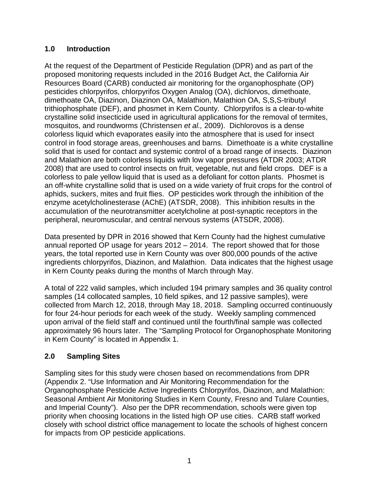## **1.0 Introduction**

At the request of the Department of Pesticide Regulation (DPR) and as part of the proposed monitoring requests included in the 2016 Budget Act, the California Air Resources Board (CARB) conducted air monitoring for the organophosphate (OP) pesticides chlorpyrifos, chlorpyrifos Oxygen Analog (OA), dichlorvos, dimethoate, dimethoate OA, Diazinon, Diazinon OA, Malathion, Malathion OA, S,S,S-tributyl trithiophosphate (DEF), and phosmet in Kern County. Chlorpyrifos is a clear-to-white crystalline solid insecticide used in agricultural applications for the removal of termites, mosquitos, and roundworms (Christensen *et al.,* 2009). Dichlorovos is a dense colorless liquid which evaporates easily into the atmosphere that is used for insect control in food storage areas, greenhouses and barns. Dimethoate is a white crystalline solid that is used for contact and systemic control of a broad range of insects. Diazinon and Malathion are both colorless liquids with low vapor pressures (ATDR 2003; ATDR 2008) that are used to control insects on fruit, vegetable, nut and field crops. DEF is a colorless to pale yellow liquid that is used as a defoliant for cotton plants. Phosmet is an off-white crystalline solid that is used on a wide variety of fruit crops for the control of aphids, suckers, mites and fruit flies. OP pesticides work through the inhibition of the enzyme acetylcholinesterase (AChE) (ATSDR, 2008). This inhibition results in the accumulation of the neurotransmitter acetylcholine at post-synaptic receptors in the peripheral, neuromuscular, and central nervous systems (ATSDR, 2008).

Data presented by DPR in 2016 showed that Kern County had the highest cumulative annual reported OP usage for years 2012 – 2014. The report showed that for those years, the total reported use in Kern County was over 800,000 pounds of the active ingredients chlorpyrifos, Diazinon, and Malathion. Data indicates that the highest usage in Kern County peaks during the months of March through May.

A total of 222 valid samples, which included 194 primary samples and 36 quality control samples (14 collocated samples, 10 field spikes, and 12 passive samples), were collected from March 12, 2018, through May 18, 2018. Sampling occurred continuously for four 24-hour periods for each week of the study. Weekly sampling commenced upon arrival of the field staff and continued until the fourth/final sample was collected approximately 96 hours later. The "Sampling Protocol for Organophosphate Monitoring in Kern County" is located in Appendix 1.

## **2.0 Sampling Sites**

Sampling sites for this study were chosen based on recommendations from DPR (Appendix 2. "Use Information and Air Monitoring Recommendation for the Organophosphate Pesticide Active Ingredients Chlorpyrifos, Diazinon, and Malathion: Seasonal Ambient Air Monitoring Studies in Kern County, Fresno and Tulare Counties, and Imperial County"). Also per the DPR recommendation, schools were given top priority when choosing locations in the listed high OP use cities. CARB staff worked closely with school district office management to locate the schools of highest concern for impacts from OP pesticide applications.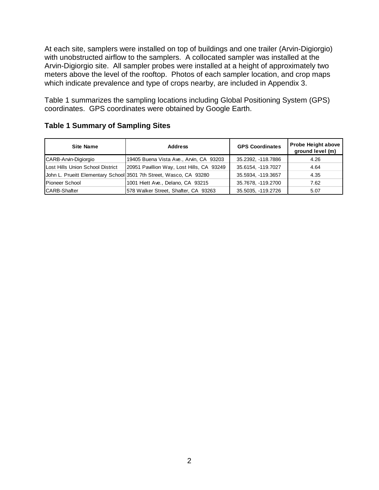At each site, samplers were installed on top of buildings and one trailer (Arvin-Digiorgio) with unobstructed airflow to the samplers. A collocated sampler was installed at the Arvin-Digiorgio site. All sampler probes were installed at a height of approximately two meters above the level of the rooftop. Photos of each sampler location, and crop maps which indicate prevalence and type of crops nearby, are included in Appendix 3.

Table 1 summarizes the sampling locations including Global Positioning System (GPS) coordinates. GPS coordinates were obtained by Google Earth.

| <b>Site Name</b>                 | <b>Address</b>                                                     | <b>GPS Coordinates</b> | <b>Probe Height above</b><br>ground level (m) |
|----------------------------------|--------------------------------------------------------------------|------------------------|-----------------------------------------------|
| CARB-Arvin-Digiorgio             | 19405 Buena Vista Ave., Arvin, CA 93203                            | 35.2392. - 118.7886    | 4.26                                          |
| Lost Hills Union School District | 20951 Pavillion Way, Lost Hills, CA 93249                          | 35.6154, -119.7027     | 4.64                                          |
|                                  | John L. Prueitt Elementary School 3501 7th Street, Wasco, CA 93280 | 35.5934, -119.3657     | 4.35                                          |
| <b>Pioneer School</b>            | 1001 Hiett Ave., Delano, CA 93215                                  | 35.7678, -119.2700     | 7.62                                          |
| CARB-Shafter                     | 578 Walker Street, Shafter, CA 93263                               | 35.5035, -119.2726     | 5.07                                          |

#### **Table 1 Summary of Sampling Sites**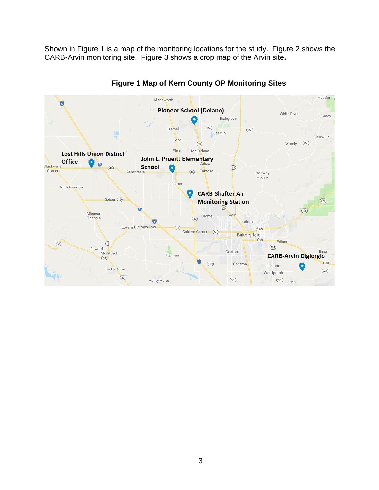Shown in Figure 1 is a map of the monitoring locations for the study. Figure 2 shows the CARB-Arvin monitoring site. Figure 3 shows a crop map of the Arvin site**.** 



#### **Figure 1 Map of Kern County OP Monitoring Sites**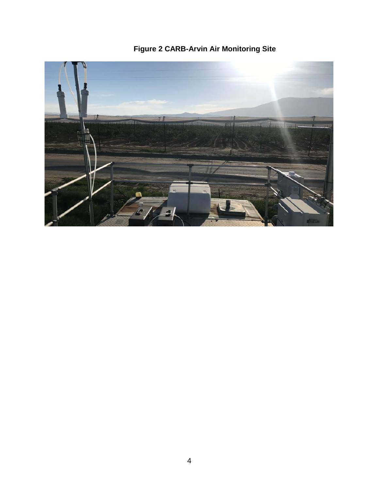**Figure 2 CARB-Arvin Air Monitoring Site**

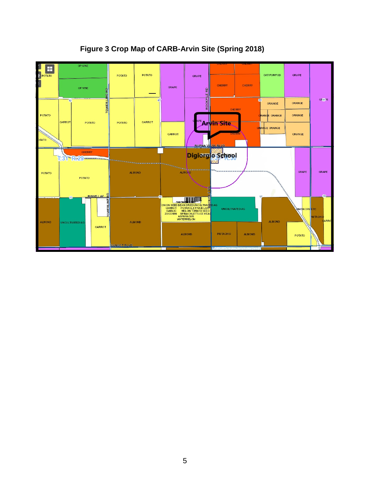

**Figure 3 Crop Map of CARB-Arvin Site (Spring 2018)**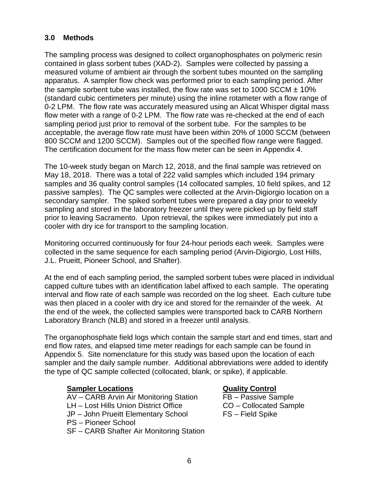### **3.0 Methods**

The sampling process was designed to collect organophosphates on polymeric resin contained in glass sorbent tubes (XAD-2). Samples were collected by passing a measured volume of ambient air through the sorbent tubes mounted on the sampling apparatus. A sampler flow check was performed prior to each sampling period. After the sample sorbent tube was installed, the flow rate was set to 1000 SCCM  $\pm$  10% (standard cubic centimeters per minute) using the inline rotameter with a flow range of 0-2 LPM. The flow rate was accurately measured using an Alicat Whisper digital mass flow meter with a range of 0-2 LPM. The flow rate was re-checked at the end of each sampling period just prior to removal of the sorbent tube. For the samples to be acceptable, the average flow rate must have been within 20% of 1000 SCCM (between 800 SCCM and 1200 SCCM). Samples out of the specified flow range were flagged. The certification document for the mass flow meter can be seen in Appendix 4.

The 10-week study began on March 12, 2018, and the final sample was retrieved on May 18, 2018. There was a total of 222 valid samples which included 194 primary samples and 36 quality control samples (14 collocated samples, 10 field spikes, and 12 passive samples). The QC samples were collected at the Arvin-Digiorgio location on a secondary sampler. The spiked sorbent tubes were prepared a day prior to weekly sampling and stored in the laboratory freezer until they were picked up by field staff prior to leaving Sacramento. Upon retrieval, the spikes were immediately put into a cooler with dry ice for transport to the sampling location.

Monitoring occurred continuously for four 24-hour periods each week. Samples were collected in the same sequence for each sampling period (Arvin-Digiorgio, Lost Hills, J.L. Prueitt, Pioneer School, and Shafter).

At the end of each sampling period, the sampled sorbent tubes were placed in individual capped culture tubes with an identification label affixed to each sample. The operating interval and flow rate of each sample was recorded on the log sheet. Each culture tube was then placed in a cooler with dry ice and stored for the remainder of the week. At the end of the week, the collected samples were transported back to CARB Northern Laboratory Branch (NLB) and stored in a freezer until analysis.

The organophosphate field logs which contain the sample start and end times, start and end flow rates, and elapsed time meter readings for each sample can be found in Appendix 5. Site nomenclature for this study was based upon the location of each sampler and the daily sample number. Additional abbreviations were added to identify the type of QC sample collected (collocated, blank, or spike), if applicable.

#### **Sampler Locations**

- AV CARB Arvin Air Monitoring Station
- LH Lost Hills Union District Office
- JP John Prueitt Elementary School
- PS Pioneer School
- SF CARB Shafter Air Monitoring Station

#### **Quality Control**

FB – Passive Sample CO – Collocated Sample FS – Field Spike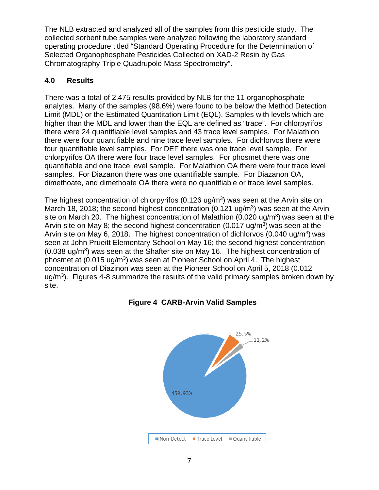The NLB extracted and analyzed all of the samples from this pesticide study. The collected sorbent tube samples were analyzed following the laboratory standard operating procedure titled "Standard Operating Procedure for the Determination of Selected Organophosphate Pesticides Collected on XAD-2 Resin by Gas Chromatography-Triple Quadrupole Mass Spectrometry".

## **4.0 Results**

There was a total of 2,475 results provided by NLB for the 11 organophosphate analytes. Many of the samples (98.6%) were found to be below the Method Detection Limit (MDL) or the Estimated Quantitation Limit (EQL). Samples with levels which are higher than the MDL and lower than the EQL are defined as "trace". For chlorpyrifos there were 24 quantifiable level samples and 43 trace level samples. For Malathion there were four quantifiable and nine trace level samples. For dichlorvos there were four quantifiable level samples. For DEF there was one trace level sample. For chlorpyrifos OA there were four trace level samples. For phosmet there was one quantifiable and one trace level sample. For Malathion OA there were four trace level samples. For Diazanon there was one quantifiable sample. For Diazanon OA, dimethoate, and dimethoate OA there were no quantifiable or trace level samples.

The highest concentration of chlorpyrifos  $(0.126 \text{ u}g/m<sup>3</sup>)$  was seen at the Arvin site on March 18, 2018; the second highest concentration  $(0.121 \text{ uq/m}^3)$  was seen at the Arvin site on March 20. The highest concentration of Malathion (0.020 ug/m<sup>3</sup>) was seen at the Arvin site on May 8; the second highest concentration  $(0.017 \text{ uq/m}^3)$  was seen at the Arvin site on May 6, 2018. The highest concentration of dichlorvos  $(0.040 \text{ ug/m}^3)$  was seen at John Prueitt Elementary School on May 16; the second highest concentration (0.038 ug/m3) was seen at the Shafter site on May 16. The highest concentration of phosmet at  $(0.015 \text{ uq/m}^3)$  was seen at Pioneer School on April 4. The highest concentration of Diazinon was seen at the Pioneer School on April 5, 2018 (0.012  $uq/m<sup>3</sup>$ . Figures 4-8 summarize the results of the valid primary samples broken down by site.



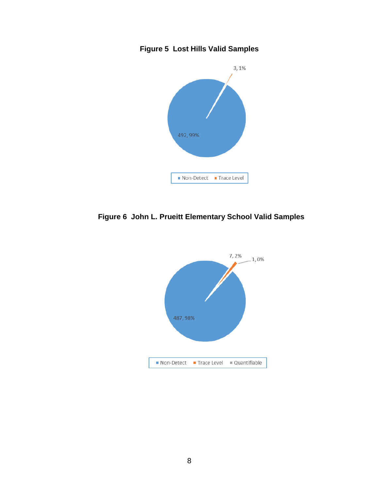# **Figure 5 Lost Hills Valid Samples**



**Figure 6 John L. Prueitt Elementary School Valid Samples**

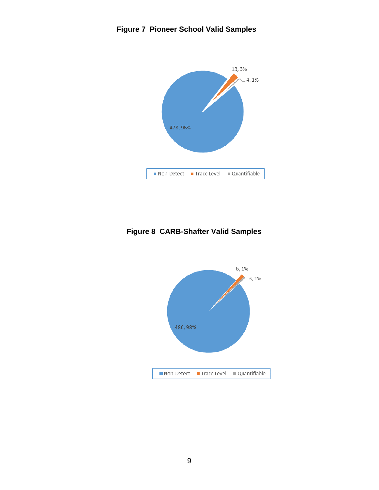

**Figure 8 CARB-Shafter Valid Samples**

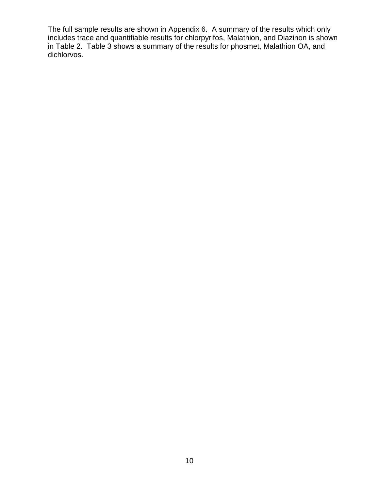The full sample results are shown in Appendix 6. A summary of the results which only includes trace and quantifiable results for chlorpyrifos, Malathion, and Diazinon is shown in Table 2. Table 3 shows a summary of the results for phosmet, Malathion OA, and dichlorvos.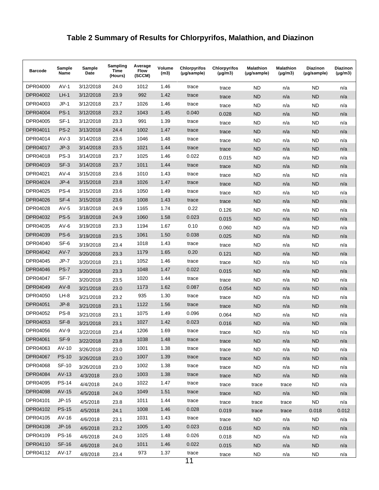# **Table 2 Summary of Results for Chlorpyrifos, Malathion, and Diazinon**

| <b>Barcode</b> | Sample<br>Name | Sample<br>Date | Sampling<br>Time<br>(Hours) | Average<br><b>Flow</b><br>(SCCM) | Volume<br>(m3) | <b>Chlorpyrifos</b><br>(µg/sample) | <b>Chlorpyrifos</b><br>(µg/m3) | <b>Malathion</b><br>(µg/sample) | <b>Malathion</b><br>$(\mu g/m3)$ | <b>Diazinon</b><br>(µg/sample) | Diazinon<br>$(\mu g/m3)$ |
|----------------|----------------|----------------|-----------------------------|----------------------------------|----------------|------------------------------------|--------------------------------|---------------------------------|----------------------------------|--------------------------------|--------------------------|
| DPR04000       | $AV-1$         | 3/12/2018      | 24.0                        | 1012                             | 1.46           | trace                              | trace                          | <b>ND</b>                       | n/a                              | <b>ND</b>                      | n/a                      |
| DPR04002       | LH-1           | 3/12/2018      | 23.9                        | 992                              | 1.42           | trace                              | trace                          | <b>ND</b>                       | n/a                              | <b>ND</b>                      | n/a                      |
| DPR04003       | $JP-1$         | 3/12/2018      | 23.7                        | 1026                             | 1.46           | trace                              | trace                          | <b>ND</b>                       | n/a                              | <b>ND</b>                      | n/a                      |
| DPR04004       | $PS-1$         | 3/12/2018      | 23.2                        | 1043                             | 1.45           | 0.040                              | 0.028                          | <b>ND</b>                       | n/a                              | <b>ND</b>                      | n/a                      |
| DPR04005       | <b>SF-1</b>    | 3/12/2018      | 23.3                        | 991                              | 1.39           | trace                              | trace                          | ND                              | n/a                              | <b>ND</b>                      | n/a                      |
| DPR04011       | <b>PS-2</b>    | 3/13/2018      | 24.4                        | 1002                             | 1.47           | trace                              | trace                          | <b>ND</b>                       | n/a                              | <b>ND</b>                      | n/a                      |
| DPR04014       | $AV-3$         | 3/14/2018      | 23.6                        | 1046                             | 1.48           | trace                              | trace                          | <b>ND</b>                       | n/a                              | <b>ND</b>                      | n/a                      |
| DPR04017       | $JP-3$         | 3/14/2018      | 23.5                        | 1021                             | 1.44           | trace                              | trace                          | <b>ND</b>                       | n/a                              | <b>ND</b>                      | n/a                      |
| DPR04018       | $PS-3$         | 3/14/2018      | 23.7                        | 1025                             | 1.46           | 0.022                              | 0.015                          | <b>ND</b>                       | n/a                              | <b>ND</b>                      | n/a                      |
| DPR04019       | $SF-3$         | 3/14/2018      | 23.7                        | 1011                             | 1.44           | trace                              | trace                          | <b>ND</b>                       | n/a                              | <b>ND</b>                      | n/a                      |
| DPR04021       | $AV-4$         | 3/15/2018      | 23.6                        | 1010                             | 1.43           | trace                              | trace                          | <b>ND</b>                       | n/a                              | <b>ND</b>                      | n/a                      |
| DPR04024       | $JP-4$         | 3/15/2018      | 23.8                        | 1026                             | 1.47           | trace                              | trace                          | <b>ND</b>                       | n/a                              | <b>ND</b>                      | n/a                      |
| DPR04025       | <b>PS-4</b>    | 3/15/2018      | 23.6                        | 1050                             | 1.49           | trace                              | trace                          | ND                              | n/a                              | <b>ND</b>                      | n/a                      |
| DPR04026       | $SF-4$         | 3/15/2018      | 23.6                        | 1008                             | 1.43           | trace                              | trace                          | <b>ND</b>                       | n/a                              | <b>ND</b>                      | n/a                      |
| DPR04028       | $AV-5$         | 3/18/2018      | 24.9                        | 1165                             | 1.74           | 0.22                               | 0.126                          | ND                              | n/a                              | <b>ND</b>                      | n/a                      |
| DPR04032       | <b>PS-5</b>    | 3/18/2018      | 24.9                        | 1060                             | 1.58           | 0.023                              | 0.015                          | <b>ND</b>                       | n/a                              | <b>ND</b>                      | n/a                      |
| DPR04035       | $AV-6$         | 3/19/2018      | 23.3                        | 1194                             | 1.67           | 0.10                               | 0.060                          | <b>ND</b>                       | n/a                              | <b>ND</b>                      | n/a                      |
| DPR04039       | $PS-6$         | 3/19/2018      | 23.5                        | 1061                             | 1.50           | 0.038                              | 0.025                          | <b>ND</b>                       | n/a                              | <b>ND</b>                      | n/a                      |
| DPR04040       | SF-6           | 3/19/2018      | 23.4                        | 1018                             | 1.43           | trace                              | trace                          | <b>ND</b>                       | n/a                              | <b>ND</b>                      | n/a                      |
| DPR04042       | $AV-7$         | 3/20/2018      | 23.3                        | 1179                             | 1.65           | 0.20                               | 0.121                          | <b>ND</b>                       | n/a                              | <b>ND</b>                      | n/a                      |
| DPR04045       | $JP-7$         | 3/20/2018      | 23.1                        | 1052                             | 1.46           | trace                              | trace                          | <b>ND</b>                       | n/a                              | <b>ND</b>                      | n/a                      |
| DPR04046       | <b>PS-7</b>    | 3/20/2018      | 23.3                        | 1048                             | 1.47           | 0.022                              | 0.015                          | <b>ND</b>                       | n/a                              | <b>ND</b>                      | n/a                      |
| DPR04047       | SF-7           | 3/20/2018      | 23.5                        | 1020                             | 1.44           | trace                              | trace                          | <b>ND</b>                       | n/a                              | <b>ND</b>                      | n/a                      |
| DPR04049       | $AV-8$         | 3/21/2018      | 23.0                        | 1173                             | 1.62           | 0.087                              | 0.054                          | <b>ND</b>                       | n/a                              | <b>ND</b>                      | n/a                      |
| DPR04050       | $LH-8$         | 3/21/2018      | 23.2                        | 935                              | 1.30           | trace                              | trace                          | ND                              | n/a                              | <b>ND</b>                      | n/a                      |
| DPR04051       | $JP-8$         | 3/21/2018      | 23.1                        | 1122                             | 1.56           | trace                              | trace                          | <b>ND</b>                       | n/a                              | <b>ND</b>                      | n/a                      |
| DPR04052       | $PS-8$         | 3/21/2018      | 23.1                        | 1075                             | 1.49           | 0.096                              | 0.064                          | <b>ND</b>                       | n/a                              | <b>ND</b>                      | n/a                      |
| DPR04053       | SF-8           | 3/21/2018      | 23.1                        | 1027                             | 1.42           | 0.023                              | 0.016                          | <b>ND</b>                       | n/a                              | ND                             | n/a                      |
| DPR04056       | $AV-9$         | 3/22/2018      | 23.4                        | 1206                             | 1.69           | trace                              | trace                          | ND                              | n/a                              | ND                             | n/a                      |
| DPR04061       | $SF-9$         | 3/22/2018      | 23.8                        | 1038                             | 1.48           | trace                              | trace                          | <b>ND</b>                       | n/a                              | <b>ND</b>                      | n/a                      |
| DPR04063       | AV-10          | 3/26/2018      | 23.0                        | 1001                             | 1.38           | trace                              | trace                          | <b>ND</b>                       | n/a                              | <b>ND</b>                      | n/a                      |
| DPR04067       | <b>PS-10</b>   | 3/26/2018      | 23.0                        | 1007                             | 1.39           | trace                              | trace                          | <b>ND</b>                       | n/a                              | <b>ND</b>                      | n/a                      |
| DPR04068       | <b>SF-10</b>   | 3/26/2018      | 23.0                        | 1002                             | 1.38           | trace                              | trace                          | <b>ND</b>                       | n/a                              | <b>ND</b>                      | n/a                      |
| DPR04084       | $AV-13$        | 4/3/2018       | 23.0                        | 1003                             | 1.38           | trace                              | trace                          | <b>ND</b>                       | n/a                              | <b>ND</b>                      | n/a                      |
| DPR04095       | <b>PS-14</b>   | 4/4/2018       | 24.0                        | 1022                             | 1.47           | trace                              | trace                          | trace                           | trace                            | <b>ND</b>                      | n/a                      |
| DPR04098       | AV-15          | 4/5/2018       | 24.0                        | 1049                             | 1.51           | trace                              | trace                          | <b>ND</b>                       | n/a                              | <b>ND</b>                      | n/a                      |
| DPR04101       | JP-15          | 4/5/2018       | 23.8                        | 1011                             | 1.44           | trace                              | trace                          | trace                           | trace                            | <b>ND</b>                      | n/a                      |
| DPR04102       | <b>PS-15</b>   | 4/5/2018       | 24.1                        | 1008                             | 1.46           | 0.028                              | 0.019                          | trace                           | trace                            | 0.018                          | 0.012                    |
| DPR04105       | AV-16          | 4/6/2018       | 23.1                        | 1031                             | 1.43           | trace                              | trace                          | <b>ND</b>                       | n/a                              | <b>ND</b>                      | n/a                      |
| DPR04108       | $JP-16$        | 4/6/2018       | 23.2                        | 1005                             | 1.40           | 0.023                              | 0.016                          | <b>ND</b>                       | n/a                              | <b>ND</b>                      | n/a                      |
| DPR04109       | <b>PS-16</b>   | 4/6/2018       | 24.0                        | 1025                             | 1.48           | 0.026                              | 0.018                          | <b>ND</b>                       | n/a                              | <b>ND</b>                      | n/a                      |
| DPR04110       | <b>SF-16</b>   | 4/6/2018       | 24.0                        | 1011                             | 1.46           | 0.022                              | 0.015                          | <b>ND</b>                       | n/a                              | <b>ND</b>                      | n/a                      |
| DPR04112       | AV-17          | 4/8/2018       | 23.4                        | 973                              | 1.37           | trace                              | trace                          | <b>ND</b>                       | n/a                              | <b>ND</b>                      | n/a                      |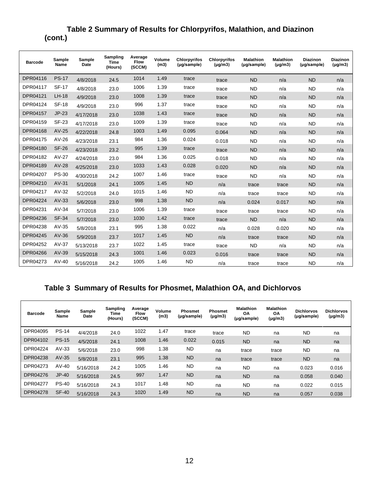# **Table 2 Summary of Results for Chlorpyrifos, Malathion, and Diazinon (cont.)**

| <b>Barcode</b>  | Sample<br>Name | Sample<br>Date | Sampling<br><b>Time</b><br>(Hours) | Average<br>Flow<br>(SCCM) | Volume<br>(m3) | <b>Chlorpyrifos</b><br>(µg/sample) | <b>Chlorpyrifos</b><br>$(\mu g/m3)$ | <b>Malathion</b><br>(µg/sample) | <b>Malathion</b><br>$(\mu g/m3)$ | Diazinon<br>(µg/sample) | Diazinon<br>$(\mu g/m3)$ |
|-----------------|----------------|----------------|------------------------------------|---------------------------|----------------|------------------------------------|-------------------------------------|---------------------------------|----------------------------------|-------------------------|--------------------------|
| DPR04116        | <b>PS-17</b>   | 4/8/2018       | 24.5                               | 1014                      | 1.49           | trace                              | trace                               | <b>ND</b>                       | n/a                              | <b>ND</b>               | n/a                      |
| DPR04117        | <b>SF-17</b>   | 4/8/2018       | 23.0                               | 1006                      | 1.39           | trace                              | trace                               | <b>ND</b>                       | n/a                              | <b>ND</b>               | n/a                      |
| DPR04121        | $LH-18$        | 4/9/2018       | 23.0                               | 1008                      | 1.39           | trace                              | trace                               | <b>ND</b>                       | n/a                              | <b>ND</b>               | n/a                      |
| DPR04124        | <b>SF-18</b>   | 4/9/2018       | 23.0                               | 996                       | 1.37           | trace                              | trace                               | <b>ND</b>                       | n/a                              | <b>ND</b>               | n/a                      |
| <b>DPR04157</b> | $JP-23$        | 4/17/2018      | 23.0                               | 1038                      | 1.43           | trace                              | trace                               | <b>ND</b>                       | n/a                              | <b>ND</b>               | n/a                      |
| DPR04159        | <b>SF-23</b>   | 4/17/2018      | 23.0                               | 1009                      | 1.39           | trace                              | trace                               | <b>ND</b>                       | n/a                              | <b>ND</b>               | n/a                      |
| DPR04168        | AV-25          | 4/22/2018      | 24.8                               | 1003                      | 1.49           | 0.095                              | 0.064                               | <b>ND</b>                       | n/a                              | <b>ND</b>               | n/a                      |
| <b>DPR04175</b> | AV-26          | 4/23/2018      | 23.1                               | 984                       | 1.36           | 0.024                              | 0.018                               | <b>ND</b>                       | n/a                              | <b>ND</b>               | n/a                      |
| <b>DPR04180</b> | <b>SF-26</b>   | 4/23/2018      | 23.2                               | 995                       | 1.39           | trace                              | trace                               | <b>ND</b>                       | n/a                              | <b>ND</b>               | n/a                      |
| DPR04182        | AV-27          | 4/24/2018      | 23.0                               | 984                       | 1.36           | 0.025                              | 0.018                               | <b>ND</b>                       | n/a                              | <b>ND</b>               | n/a                      |
| DPR04189        | <b>AV-28</b>   | 4/25/2018      | 23.0                               | 1033                      | 1.43           | 0.028                              | 0.020                               | <b>ND</b>                       | n/a                              | <b>ND</b>               | n/a                      |
| DPR04207        | <b>PS-30</b>   | 4/30/2018      | 24.2                               | 1007                      | 1.46           | trace                              | trace                               | <b>ND</b>                       | n/a                              | <b>ND</b>               | n/a                      |
| DPR04210        | $AV-31$        | 5/1/2018       | 24.1                               | 1005                      | 1.45           | <b>ND</b>                          | n/a                                 | trace                           | trace                            | <b>ND</b>               | n/a                      |
| DPR04217        | AV-32          | 5/2/2018       | 24.0                               | 1015                      | 1.46           | <b>ND</b>                          | n/a                                 | trace                           | trace                            | <b>ND</b>               | n/a                      |
| <b>DPR04224</b> | AV-33          | 5/6/2018       | 23.0                               | 998                       | 1.38           | <b>ND</b>                          | n/a                                 | 0.024                           | 0.017                            | <b>ND</b>               | n/a                      |
| DPR04231        | AV-34          | 5/7/2018       | 23.0                               | 1006                      | 1.39           | trace                              | trace                               | trace                           | trace                            | <b>ND</b>               | n/a                      |
| DPR04236        | <b>SF-34</b>   | 5/7/2018       | 23.0                               | 1030                      | 1.42           | trace                              | trace                               | <b>ND</b>                       | n/a                              | <b>ND</b>               | n/a                      |
| DPR04238        | AV-35          | 5/8/2018       | 23.1                               | 995                       | 1.38           | 0.022                              | n/a                                 | 0.028                           | 0.020                            | <b>ND</b>               | n/a                      |
| <b>DPR04245</b> | AV-36          | 5/9/2018       | 23.7                               | 1017                      | 1.45           | <b>ND</b>                          | n/a                                 | trace                           | trace                            | <b>ND</b>               | n/a                      |
| DPR04252        | AV-37          | 5/13/2018      | 23.7                               | 1022                      | 1.45           | trace                              | trace                               | <b>ND</b>                       | n/a                              | <b>ND</b>               | n/a                      |
| <b>DPR04266</b> | AV-39          | 5/15/2018      | 24.3                               | 1001                      | 1.46           | 0.023                              | 0.016                               | trace                           | trace                            | <b>ND</b>               | n/a                      |
| DPR04273        | $AV-40$        | 5/16/2018      | 24.2                               | 1005                      | 1.46           | <b>ND</b>                          | n/a                                 | trace                           | trace                            | <b>ND</b>               | n/a                      |

# **Table 3 Summary of Results for Phosmet, Malathion OA, and Dichlorvos**

| <b>Barcode</b>  | Sample<br><b>Name</b> | Sample<br>Date | Sampling<br>Time<br>(Hours) | Average<br><b>Flow</b><br>(SCCM) | Volume<br>(m3) | <b>Phosmet</b><br>(µg/sample) | <b>Phosmet</b><br>$(\mu g/m3)$ | <b>Malathion</b><br>OΑ<br>(µg/sample) | <b>Malathion</b><br><b>OA</b><br>(µg/m3) | <b>Dichlorvos</b><br>(µg/sample) | <b>Dichlorvos</b><br>$(\mu g/m3)$ |
|-----------------|-----------------------|----------------|-----------------------------|----------------------------------|----------------|-------------------------------|--------------------------------|---------------------------------------|------------------------------------------|----------------------------------|-----------------------------------|
| DPR04095        | <b>PS-14</b>          | 4/4/2018       | 24.0                        | 1022                             | 1.47           | trace                         | trace                          | <b>ND</b>                             | na                                       | <b>ND</b>                        | na                                |
| <b>DPR04102</b> | <b>PS-15</b>          | 4/5/2018       | 24.1                        | 1008                             | 1.46           | 0.022                         | 0.015                          | <b>ND</b>                             | na                                       | <b>ND</b>                        | na                                |
| DPR04224        | $AV-33$               | 5/6/2018       | 23.0                        | 998                              | 1.38           | <b>ND</b>                     | na                             | trace                                 | trace                                    | <b>ND</b>                        | na                                |
| DPR04238        | AV-35                 | 5/8/2018       | 23.1                        | 995                              | 1.38           | <b>ND</b>                     | na                             | trace                                 | trace                                    | <b>ND</b>                        | na                                |
| DPR04273        | AV-40                 | 5/16/2018      | 24.2                        | 1005                             | 1.46           | <b>ND</b>                     | na                             | <b>ND</b>                             | na                                       | 0.023                            | 0.016                             |
| DPR04276        | $JP-40$               | 5/16/2018      | 24.5                        | 997                              | 1.47           | <b>ND</b>                     | na                             | <b>ND</b>                             | na                                       | 0.058                            | 0.040                             |
| DPR04277        | <b>PS-40</b>          | 5/16/2018      | 24.3                        | 1017                             | 1.48           | <b>ND</b>                     | na                             | <b>ND</b>                             | na                                       | 0.022                            | 0.015                             |
| DPR04278        | <b>SF-40</b>          | 5/16/2018      | 24.3                        | 1020                             | 1.49           | <b>ND</b>                     | na                             | <b>ND</b>                             | na                                       | 0.057                            | 0.038                             |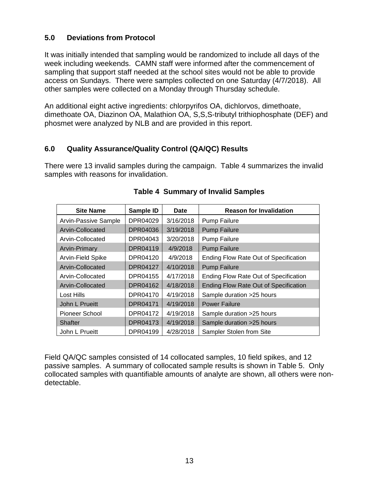### **5.0 Deviations from Protocol**

It was initially intended that sampling would be randomized to include all days of the week including weekends. CAMN staff were informed after the commencement of sampling that support staff needed at the school sites would not be able to provide access on Sundays. There were samples collected on one Saturday (4/7/2018). All other samples were collected on a Monday through Thursday schedule.

An additional eight active ingredients: chlorpyrifos OA, dichlorvos, dimethoate, dimethoate OA, Diazinon OA, Malathion OA, S,S,S-tributyl trithiophosphate (DEF) and phosmet were analyzed by NLB and are provided in this report.

#### **6.0 Quality Assurance/Quality Control (QA/QC) Results**

There were 13 invalid samples during the campaign. Table 4 summarizes the invalid samples with reasons for invalidation.

| <b>Site Name</b>            | Sample ID | Date      | <b>Reason for Invalidation</b>        |
|-----------------------------|-----------|-----------|---------------------------------------|
| <b>Arvin-Passive Sample</b> | DPR04029  | 3/16/2018 | <b>Pump Failure</b>                   |
| Arvin-Collocated            | DPR04036  | 3/19/2018 | <b>Pump Failure</b>                   |
| Arvin-Collocated            | DPR04043  | 3/20/2018 | <b>Pump Failure</b>                   |
| Arvin-Primary               | DPR04119  | 4/9/2018  | <b>Pump Failure</b>                   |
| Arvin-Field Spike           | DPR04120  | 4/9/2018  | Ending Flow Rate Out of Specification |
| Arvin-Collocated            | DPR04127  | 4/10/2018 | <b>Pump Failure</b>                   |
| Arvin-Collocated            | DPR04155  | 4/17/2018 | Ending Flow Rate Out of Specification |
| Arvin-Collocated            | DPR04162  | 4/18/2018 | Ending Flow Rate Out of Specification |
| Lost Hills                  | DPR04170  | 4/19/2018 | Sample duration > 25 hours            |
| John L Prueitt              | DPR04171  | 4/19/2018 | <b>Power Failure</b>                  |
| Pioneer School              | DPR04172  | 4/19/2018 | Sample duration >25 hours             |
| <b>Shafter</b>              | DPR04173  | 4/19/2018 | Sample duration >25 hours             |
| John L Prueitt              | DPR04199  | 4/28/2018 | Sampler Stolen from Site              |

#### **Table 4 Summary of Invalid Samples**

Field QA/QC samples consisted of 14 collocated samples, 10 field spikes, and 12 passive samples. A summary of collocated sample results is shown in Table 5. Only collocated samples with quantifiable amounts of analyte are shown, all others were nondetectable.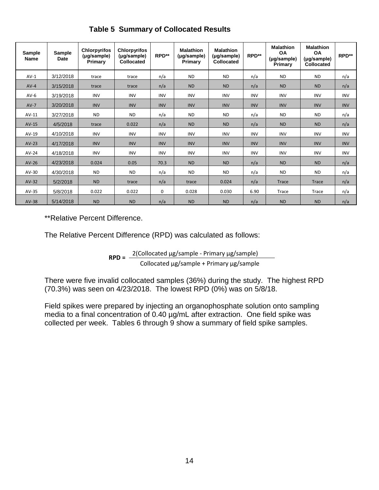| Sample<br>Name | Sample<br><b>Date</b> | <b>Chlorpyrifos</b><br>(µg/sample)<br>Primary | <b>Chlorpyrifos</b><br>(µg/sample)<br>Collocated | RPD**      | <b>Malathion</b><br>(µg/sample)<br>Primary | <b>Malathion</b><br>(µg/sample)<br><b>Collocated</b> | RPD**      | <b>Malathion</b><br><b>OA</b><br>(µg/sample)<br>Primary | <b>Malathion</b><br><b>OA</b><br>(µg/sample)<br><b>Collocated</b> | RPD**      |
|----------------|-----------------------|-----------------------------------------------|--------------------------------------------------|------------|--------------------------------------------|------------------------------------------------------|------------|---------------------------------------------------------|-------------------------------------------------------------------|------------|
| $AV-1$         | 3/12/2018             | trace                                         | trace                                            | n/a        | <b>ND</b>                                  | <b>ND</b>                                            | n/a        | <b>ND</b>                                               | <b>ND</b>                                                         | n/a        |
| $AV-4$         | 3/15/2018             | trace                                         | trace                                            | n/a        | <b>ND</b>                                  | <b>ND</b>                                            | n/a        | <b>ND</b>                                               | <b>ND</b>                                                         | n/a        |
| $AV-6$         | 3/19/2018             | <b>INV</b>                                    | <b>INV</b>                                       | <b>INV</b> | <b>INV</b>                                 | <b>INV</b>                                           | <b>INV</b> | <b>INV</b>                                              | <b>INV</b>                                                        | <b>INV</b> |
| $AV-7$         | 3/20/2018             | <b>INV</b>                                    | <b>INV</b>                                       | <b>INV</b> | <b>INV</b>                                 | <b>INV</b>                                           | <b>INV</b> | <b>INV</b>                                              | <b>INV</b>                                                        | <b>INV</b> |
| $AV-11$        | 3/27/2018             | <b>ND</b>                                     | <b>ND</b>                                        | n/a        | <b>ND</b>                                  | <b>ND</b>                                            | n/a        | <b>ND</b>                                               | <b>ND</b>                                                         | n/a        |
| $AV-15$        | 4/5/2018              | trace                                         | 0.022                                            | n/a        | <b>ND</b>                                  | <b>ND</b>                                            | n/a        | <b>ND</b>                                               | <b>ND</b>                                                         | n/a        |
| AV-19          | 4/10/2018             | <b>INV</b>                                    | <b>INV</b>                                       | <b>INV</b> | <b>INV</b>                                 | <b>INV</b>                                           | <b>INV</b> | <b>INV</b>                                              | <b>INV</b>                                                        | <b>INV</b> |
| $AV-23$        | 4/17/2018             | <b>INV</b>                                    | <b>INV</b>                                       | <b>INV</b> | <b>INV</b>                                 | <b>INV</b>                                           | <b>INV</b> | <b>INV</b>                                              | <b>INV</b>                                                        | <b>INV</b> |
| $AV-24$        | 4/18/2018             | <b>INV</b>                                    | <b>INV</b>                                       | <b>INV</b> | <b>INV</b>                                 | <b>INV</b>                                           | <b>INV</b> | <b>INV</b>                                              | <b>INV</b>                                                        | <b>INV</b> |
| $AV-26$        | 4/23/2018             | 0.024                                         | 0.05                                             | 70.3       | <b>ND</b>                                  | <b>ND</b>                                            | n/a        | <b>ND</b>                                               | <b>ND</b>                                                         | n/a        |
| AV-30          | 4/30/2018             | <b>ND</b>                                     | <b>ND</b>                                        | n/a        | <b>ND</b>                                  | <b>ND</b>                                            | n/a        | <b>ND</b>                                               | <b>ND</b>                                                         | n/a        |
| $AV-32$        | 5/2/2018              | <b>ND</b>                                     | trace                                            | n/a        | trace                                      | 0.024                                                | n/a        | Trace                                                   | Trace                                                             | n/a        |
| $AV-35$        | 5/8/2018              | 0.022                                         | 0.022                                            | 0          | 0.028                                      | 0.030                                                | 6.90       | Trace                                                   | Trace                                                             | n/a        |
| $AV-38$        | 5/14/2018             | <b>ND</b>                                     | <b>ND</b>                                        | n/a        | <b>ND</b>                                  | <b>ND</b>                                            | n/a        | <b>ND</b>                                               | <b>ND</b>                                                         | n/a        |

## **Table 5 Summary of Collocated Results**

\*\*Relative Percent Difference.

The Relative Percent Difference (RPD) was calculated as follows:

**RPD** =  $\frac{2$ (Collocated µg/sample - Primary µg/sample) Collocated µg/sample + Primary µg/sample

There were five invalid collocated samples (36%) during the study. The highest RPD (70.3%) was seen on 4/23/2018. The lowest RPD (0%) was on 5/8/18.

Field spikes were prepared by injecting an organophosphate solution onto sampling media to a final concentration of 0.40 µg/mL after extraction. One field spike was collected per week. Tables 6 through 9 show a summary of field spike samples.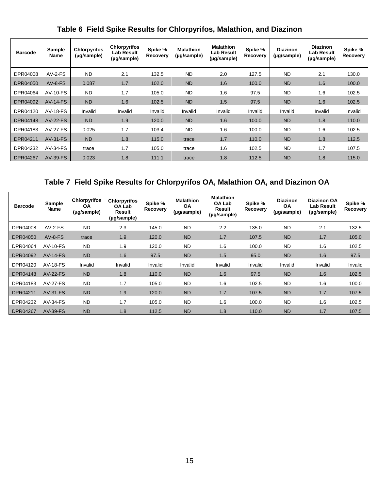| <b>Barcode</b>  | Sample<br>Name  | <b>Chlorpyrifos</b><br>(µg/sample) | <b>Chlorpyrifos</b><br><b>Lab Result</b><br>(µg/sample) | Spike %<br>Recovery | <b>Malathion</b><br>(µg/sample) | <b>Malathion</b><br><b>Lab Result</b><br>(µq/sample) | Spike %<br>Recovery | <b>Diazinon</b><br>(µg/sample) | <b>Diazinon</b><br>Lab Result<br>(µq/sample) | Spike %<br>Recovery |
|-----------------|-----------------|------------------------------------|---------------------------------------------------------|---------------------|---------------------------------|------------------------------------------------------|---------------------|--------------------------------|----------------------------------------------|---------------------|
| DPR04008        | $AV-2-FS$       | <b>ND</b>                          | 2.1                                                     | 132.5               | <b>ND</b>                       | 2.0                                                  | 127.5               | <b>ND</b>                      | 2.1                                          | 130.0               |
| <b>DPR04050</b> | $AV-8-FS$       | 0.087                              | 1.7                                                     | 102.0               | <b>ND</b>                       | 1.6                                                  | 100.0               | <b>ND</b>                      | 1.6                                          | 100.0               |
| DPR04064        | <b>AV-10-FS</b> | <b>ND</b>                          | 1.7                                                     | 105.0               | <b>ND</b>                       | 1.6                                                  | 97.5                | <b>ND</b>                      | 1.6                                          | 102.5               |
| DPR04092        | <b>AV-14-FS</b> | <b>ND</b>                          | 1.6                                                     | 102.5               | <b>ND</b>                       | 1.5                                                  | 97.5                | <b>ND</b>                      | 1.6                                          | 102.5               |
| DPR04120        | <b>AV-18-FS</b> | Invalid                            | Invalid                                                 | Invalid             | Invalid                         | Invalid                                              | Invalid             | Invalid                        | Invalid                                      | Invalid             |
| <b>DPR04148</b> | <b>AV-22-FS</b> | <b>ND</b>                          | 1.9                                                     | 120.0               | <b>ND</b>                       | 1.6                                                  | 100.0               | <b>ND</b>                      | 1.8                                          | 110.0               |
| DPR04183        | <b>AV-27-FS</b> | 0.025                              | 1.7                                                     | 103.4               | <b>ND</b>                       | 1.6                                                  | 100.0               | <b>ND</b>                      | 1.6                                          | 102.5               |
| DPR04211        | <b>AV-31-FS</b> | <b>ND</b>                          | 1.8                                                     | 115.0               | trace                           | 1.7                                                  | 110.0               | <b>ND</b>                      | 1.8                                          | 112.5               |
| DPR04232        | <b>AV-34-FS</b> | trace                              | 1.7                                                     | 105.0               | trace                           | 1.6                                                  | 102.5               | <b>ND</b>                      | 1.7                                          | 107.5               |
| <b>DPR04267</b> | <b>AV-39-FS</b> | 0.023                              | 1.8                                                     | 111.1               | trace                           | 1.8                                                  | 112.5               | <b>ND</b>                      | 1.8                                          | 115.0               |

# **Table 6 Field Spike Results for Chlorpyrifos, Malathion, and Diazinon**

# **Table 7 Field Spike Results for Chlorpyrifos OA, Malathion OA, and Diazinon OA**

| <b>Barcode</b>  | Sample<br>Name  | <b>Chlorpyrifos</b><br><b>OA</b><br>(µg/sample) | <b>Chlorpyrifos</b><br>OA Lab<br>Result<br>(µg/sample) | Spike %<br>Recovery | <b>Malathion</b><br><b>OA</b><br>(µg/sample) | <b>Malathion</b><br>OA Lab<br>Result<br>(µg/sample) | Spike %<br>Recovery | <b>Diazinon</b><br><b>OA</b><br>(µg/sample) | <b>Diazinon OA</b><br>Lab Result<br>(µg/sample) | Spike %<br>Recovery |
|-----------------|-----------------|-------------------------------------------------|--------------------------------------------------------|---------------------|----------------------------------------------|-----------------------------------------------------|---------------------|---------------------------------------------|-------------------------------------------------|---------------------|
| DPR04008        | $AV-2-FS$       | <b>ND</b>                                       | 2.3                                                    | 145.0               | <b>ND</b>                                    | 2.2                                                 | 135.0               | <b>ND</b>                                   | 2.1                                             | 132.5               |
| <b>DPR04050</b> | $AV-8-FS$       | trace                                           | 1.9                                                    | 120.0               | <b>ND</b>                                    | 1.7                                                 | 107.5               | <b>ND</b>                                   | 1.7                                             | 105.0               |
| DPR04064        | <b>AV-10-FS</b> | <b>ND</b>                                       | 1.9                                                    | 120.0               | <b>ND</b>                                    | 1.6                                                 | 100.0               | <b>ND</b>                                   | 1.6                                             | 102.5               |
| DPR04092        | <b>AV-14-FS</b> | <b>ND</b>                                       | 1.6                                                    | 97.5                | <b>ND</b>                                    | 1.5                                                 | 95.0                | <b>ND</b>                                   | 1.6                                             | 97.5                |
| DPR04120        | <b>AV-18-FS</b> | Invalid                                         | Invalid                                                | Invalid             | Invalid                                      | Invalid                                             | Invalid             | Invalid                                     | Invalid                                         | Invalid             |
| DPR04148        | <b>AV-22-FS</b> | <b>ND</b>                                       | 1.8                                                    | 110.0               | <b>ND</b>                                    | 1.6                                                 | 97.5                | <b>ND</b>                                   | 1.6                                             | 102.5               |
| DPR04183        | <b>AV-27-FS</b> | <b>ND</b>                                       | 1.7                                                    | 105.0               | <b>ND</b>                                    | 1.6                                                 | 102.5               | <b>ND</b>                                   | 1.6                                             | 100.0               |
| DPR04211        | <b>AV-31-FS</b> | <b>ND</b>                                       | 1.9                                                    | 120.0               | <b>ND</b>                                    | 1.7                                                 | 107.5               | <b>ND</b>                                   | 1.7                                             | 107.5               |
| DPR04232        | AV-34-FS        | <b>ND</b>                                       | 1.7                                                    | 105.0               | <b>ND</b>                                    | 1.6                                                 | 100.0               | <b>ND</b>                                   | 1.6                                             | 102.5               |
| <b>DPR04267</b> | <b>AV-39-FS</b> | <b>ND</b>                                       | 1.8                                                    | 112.5               | <b>ND</b>                                    | 1.8                                                 | 110.0               | <b>ND</b>                                   | 1.7                                             | 107.5               |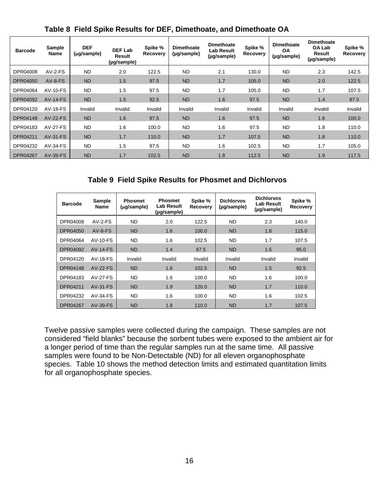| <b>Barcode</b>  | Sample<br>Name  | <b>DEF</b><br>(µg/sample) | <b>DEF Lab</b><br>Result<br>(ug/sample) | Spike %<br>Recovery | <b>Dimethoate</b><br>(µg/sample) | <b>Dimethoate</b><br><b>Lab Result</b><br>(µg/sample) | Spike %<br>Recovery | <b>Dimethoate</b><br><b>OA</b><br>(µg/sample) | <b>Dimethoate</b><br>OA Lab<br>Result<br>(µg/sample) | Spike %<br>Recovery |
|-----------------|-----------------|---------------------------|-----------------------------------------|---------------------|----------------------------------|-------------------------------------------------------|---------------------|-----------------------------------------------|------------------------------------------------------|---------------------|
| DPR04008        | $AV-2-FS$       | <b>ND</b>                 | 2.0                                     | 122.5               | <b>ND</b>                        | 2.1                                                   | 130.0               | <b>ND</b>                                     | 2.3                                                  | 142.5               |
| DPR04050        | AV-8-FS         | <b>ND</b>                 | 1.5                                     | 97.5                | <b>ND</b>                        | 1.7                                                   | 105.0               | <b>ND</b>                                     | 2.0                                                  | 122.5               |
| DPR04064        | <b>AV-10-FS</b> | <b>ND</b>                 | 1.5                                     | 97.5                | <b>ND</b>                        | 1.7                                                   | 105.0               | <b>ND</b>                                     | 1.7                                                  | 107.5               |
| <b>DPR04092</b> | <b>AV-14-FS</b> | <b>ND</b>                 | 1.5                                     | 92.5                | <b>ND</b>                        | 1.6                                                   | 97.5                | <b>ND</b>                                     | 1.4                                                  | 87.5                |
| DPR04120        | <b>AV-18-FS</b> | Invalid                   | Invalid                                 | Invalid             | Invalid                          | Invalid                                               | Invalid             | Invalid                                       | Invalid                                              | Invalid             |
| DPR04148        | <b>AV-22-FS</b> | <b>ND</b>                 | 1.6                                     | 97.5                | <b>ND</b>                        | 1.6                                                   | 97.5                | <b>ND</b>                                     | 1.6                                                  | 100.0               |
| DPR04183        | <b>AV-27-FS</b> | <b>ND</b>                 | 1.6                                     | 100.0               | <b>ND</b>                        | 1.6                                                   | 97.5                | <b>ND</b>                                     | 1.8                                                  | 110.0               |
| DPR04211        | <b>AV-31-FS</b> | <b>ND</b>                 | 1.7                                     | 110.0               | <b>ND</b>                        | 1.7                                                   | 107.5               | <b>ND</b>                                     | 1.8                                                  | 110.0               |
| DPR04232        | <b>AV-34-FS</b> | <b>ND</b>                 | 1.5                                     | 97.5                | <b>ND</b>                        | 1.6                                                   | 102.5               | <b>ND</b>                                     | 1.7                                                  | 105.0               |
| <b>DPR04267</b> | <b>AV-39-FS</b> | <b>ND</b>                 | 1.7                                     | 102.5               | <b>ND</b>                        | 1.8                                                   | 112.5               | <b>ND</b>                                     | 1.9                                                  | 117.5               |

## **Table 8 Field Spike Results for DEF, Dimethoate, and Dimethoate OA**

### **Table 9 Field Spike Results for Phosmet and Dichlorvos**

| <b>Barcode</b> | <b>Sample</b><br><b>Name</b> | <b>Phosmet</b><br>(µg/sample) | <b>Phosmet</b><br><b>Lab Result</b><br>(µg/sample) | Spike %<br>Recovery | <b>Dichlorvos</b><br>(µg/sample) | <b>Dichlorvos</b><br><b>Lab Result</b><br>(µg/sample) | Spike %<br><b>Recovery</b> |
|----------------|------------------------------|-------------------------------|----------------------------------------------------|---------------------|----------------------------------|-------------------------------------------------------|----------------------------|
| DPR04008       | $AV-2-FS$                    | <b>ND</b>                     | 2.0                                                | 122.5               | ND.                              | 2.3                                                   | 140.0                      |
| DPR04050       | $AV-8-FS$                    | <b>ND</b>                     | 1.6                                                | 100.0               | <b>ND</b>                        | 1.8                                                   | 115.0                      |
| DPR04064       | AV-10-FS                     | <b>ND</b>                     | 1.6                                                | 102.5               | <b>ND</b>                        | 1.7                                                   | 107.5                      |
| DPR04092       | $AV-14-FS$                   | <b>ND</b>                     | 1.4                                                | 87.5                | <b>ND</b>                        | 1.5                                                   | 95.0                       |
| DPR04120       | <b>AV-18-FS</b>              | Invalid                       | Invalid                                            | Invalid             | Invalid                          | Invalid                                               | Invalid                    |
| DPR04148       | <b>AV-22-FS</b>              | <b>ND</b>                     | 1.6                                                | 102.5               | <b>ND</b>                        | 1.5                                                   | 92.5                       |
| DPR04183       | <b>AV-27-FS</b>              | <b>ND</b>                     | 1.6                                                | 100.0               | <b>ND</b>                        | 1.6                                                   | 100.0                      |
| DPR04211       | <b>AV-31-FS</b>              | <b>ND</b>                     | 1.9                                                | 120.0               | <b>ND</b>                        | 1.7                                                   | 110.0                      |
| DPR04232       | AV-34-FS                     | <b>ND</b>                     | 1.6                                                | 100.0               | <b>ND</b>                        | 1.6                                                   | 102.5                      |
| DPR04267       | <b>AV-39-FS</b>              | <b>ND</b>                     | 1.8                                                | 110.0               | <b>ND</b>                        | 1.7                                                   | 107.5                      |

Twelve passive samples were collected during the campaign. These samples are not considered "field blanks" because the sorbent tubes were exposed to the ambient air for a longer period of time than the regular samples run at the same time. All passive samples were found to be Non-Detectable (ND) for all eleven organophosphate species. Table 10 shows the method detection limits and estimated quantitation limits for all organophosphate species.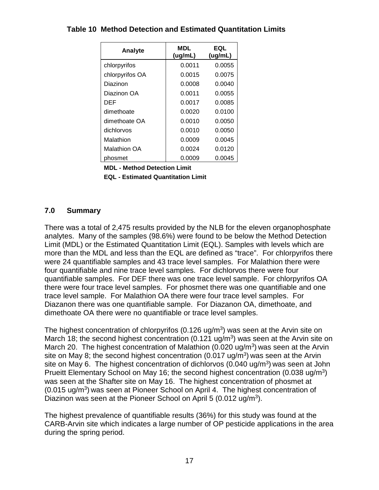| Analyte         | MDL<br>(ug/mL) | EQL<br>(ug/mL) |  |
|-----------------|----------------|----------------|--|
| chlorpyrifos    | 0.0011         | 0.0055         |  |
| chlorpyrifos OA | 0.0015         | 0.0075         |  |
| Diazinon        | 0.0008         | 0.0040         |  |
| Diazinon OA     | 0.0011         | 0.0055         |  |
| DEF             | 0.0017         | 0.0085         |  |
| dimethoate      | 0.0020         | 0.0100         |  |
| dimethoate OA   | 0.0010         | 0.0050         |  |
| dichlorvos      | 0.0010         | 0.0050         |  |
| Malathion       | 0.0009         | 0.0045         |  |
| Malathion OA    | 0.0024         | 0.0120         |  |
| phosmet         | 0.0009         | 0.0045         |  |

### **Table 10 Method Detection and Estimated Quantitation Limits**

**MDL - Method Detection Limit**

**EQL - Estimated Quantitation Limit** 

#### **7.0 Summary**

There was a total of 2,475 results provided by the NLB for the eleven organophosphate analytes. Many of the samples (98.6%) were found to be below the Method Detection Limit (MDL) or the Estimated Quantitation Limit (EQL). Samples with levels which are more than the MDL and less than the EQL are defined as "trace". For chlorpyrifos there were 24 quantifiable samples and 43 trace level samples. For Malathion there were four quantifiable and nine trace level samples. For dichlorvos there were four quantifiable samples. For DEF there was one trace level sample. For chlorpyrifos OA there were four trace level samples. For phosmet there was one quantifiable and one trace level sample. For Malathion OA there were four trace level samples. For Diazanon there was one quantifiable sample. For Diazanon OA, dimethoate, and dimethoate OA there were no quantifiable or trace level samples.

The highest concentration of chlorpyrifos  $(0.126 \text{ uq/m}^3)$  was seen at the Arvin site on March 18; the second highest concentration (0.121 ug/m<sup>3</sup>) was seen at the Arvin site on March 20. The highest concentration of Malathion (0.020 ug/m<sup>3</sup>) was seen at the Arvin site on May 8; the second highest concentration (0.017 ug/m<sup>3</sup>) was seen at the Arvin site on May 6. The highest concentration of dichlorvos (0.040 ug/ $m<sup>3</sup>$ ) was seen at John Prueitt Elementary School on May 16; the second highest concentration (0.038 ug/m<sup>3</sup>) was seen at the Shafter site on May 16. The highest concentration of phosmet at (0.015 ug/m3) was seen at Pioneer School on April 4. The highest concentration of Diazinon was seen at the Pioneer School on April 5 (0.012 ug/m<sup>3</sup>).

The highest prevalence of quantifiable results (36%) for this study was found at the CARB-Arvin site which indicates a large number of OP pesticide applications in the area during the spring period.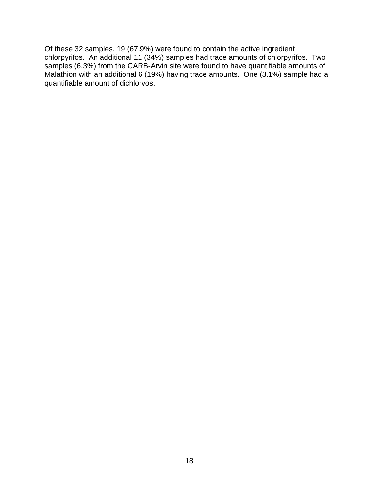Of these 32 samples, 19 (67.9%) were found to contain the active ingredient chlorpyrifos. An additional 11 (34%) samples had trace amounts of chlorpyrifos. Two samples (6.3%) from the CARB-Arvin site were found to have quantifiable amounts of Malathion with an additional 6 (19%) having trace amounts. One (3.1%) sample had a quantifiable amount of dichlorvos.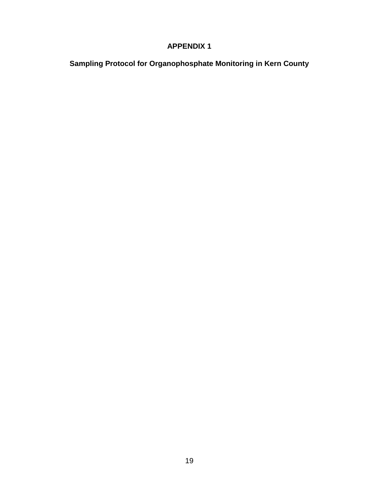**Sampling Protocol for Organophosphate Monitoring in Kern County**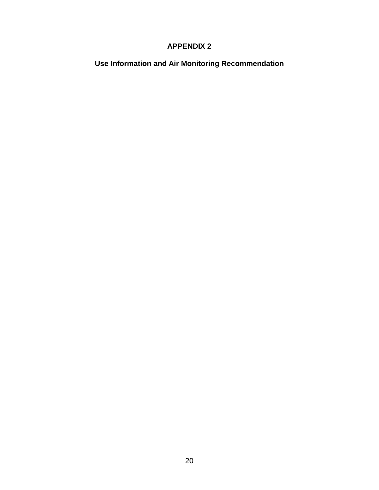**Use Information and Air Monitoring Recommendation**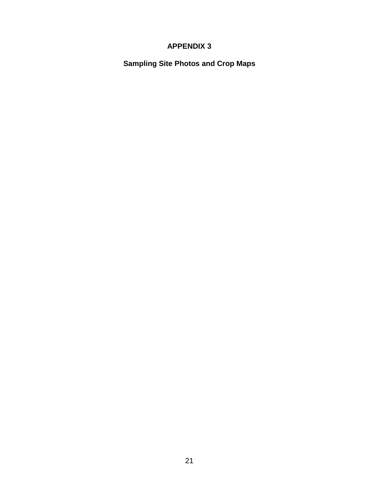**Sampling Site Photos and Crop Maps**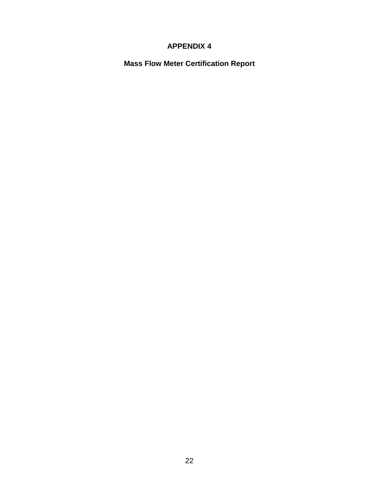**Mass Flow Meter Certification Report**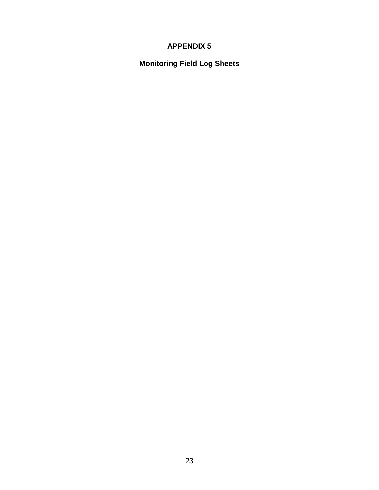**Monitoring Field Log Sheets**